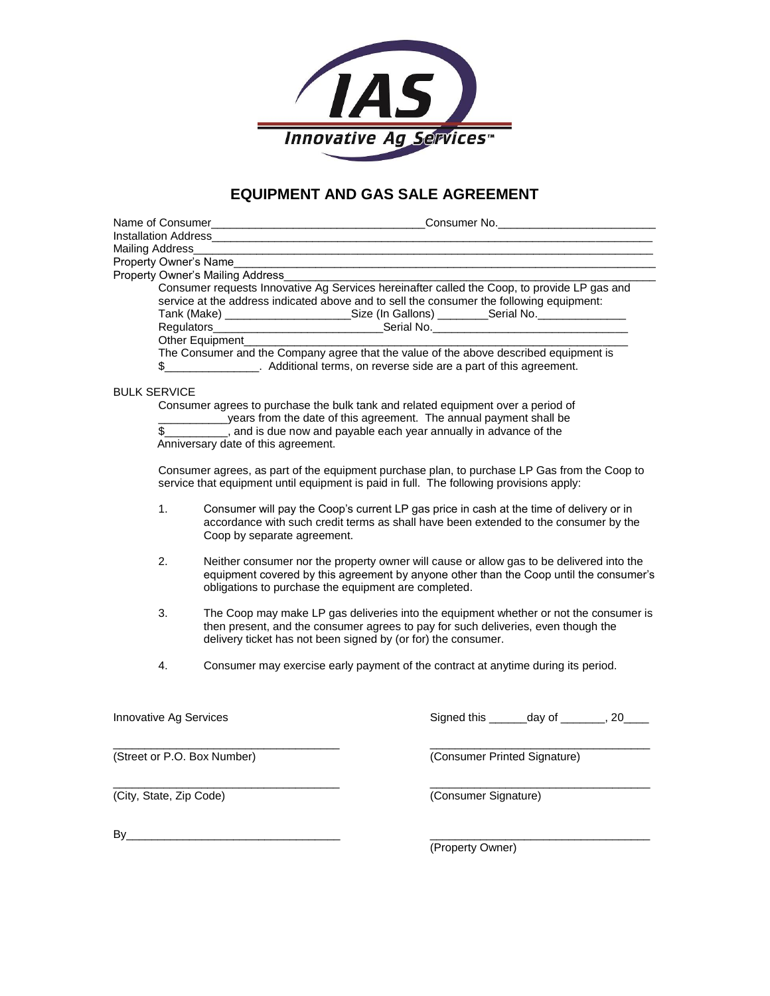

## **EQUIPMENT AND GAS SALE AGREEMENT**

| Mailing Address______                                                                                                                                                                           |                                                                                                                                                                                                                                             |                              |                      |                                             |  |
|-------------------------------------------------------------------------------------------------------------------------------------------------------------------------------------------------|---------------------------------------------------------------------------------------------------------------------------------------------------------------------------------------------------------------------------------------------|------------------------------|----------------------|---------------------------------------------|--|
| Property Owner's Name                                                                                                                                                                           |                                                                                                                                                                                                                                             |                              |                      |                                             |  |
| Property Owner's Mailing Address<br>Consumer requests Innovative Ag Services hereinafter called the Coop, to provide LP gas and                                                                 |                                                                                                                                                                                                                                             |                              |                      |                                             |  |
| service at the address indicated above and to sell the consumer the following equipment:<br>Tank (Make) _________________________Size (In Gallons) ________Serial No. _________________________ |                                                                                                                                                                                                                                             |                              |                      |                                             |  |
|                                                                                                                                                                                                 |                                                                                                                                                                                                                                             |                              |                      |                                             |  |
| Other Equipment                                                                                                                                                                                 |                                                                                                                                                                                                                                             |                              |                      |                                             |  |
| The Consumer and the Company agree that the value of the above described equipment is<br>\$ Additional terms, on reverse side are a part of this agreement.                                     |                                                                                                                                                                                                                                             |                              |                      |                                             |  |
| <b>BULK SERVICE</b>                                                                                                                                                                             |                                                                                                                                                                                                                                             |                              |                      |                                             |  |
| Consumer agrees to purchase the bulk tank and related equipment over a period of                                                                                                                |                                                                                                                                                                                                                                             |                              |                      |                                             |  |
| years from the date of this agreement. The annual payment shall be<br>, and is due now and payable each year annually in advance of the<br>\$                                                   |                                                                                                                                                                                                                                             |                              |                      |                                             |  |
| Anniversary date of this agreement.                                                                                                                                                             |                                                                                                                                                                                                                                             |                              |                      |                                             |  |
| Consumer agrees, as part of the equipment purchase plan, to purchase LP Gas from the Coop to<br>service that equipment until equipment is paid in full. The following provisions apply:         |                                                                                                                                                                                                                                             |                              |                      |                                             |  |
| 1.                                                                                                                                                                                              | Consumer will pay the Coop's current LP gas price in cash at the time of delivery or in<br>accordance with such credit terms as shall have been extended to the consumer by the<br>Coop by separate agreement.                              |                              |                      |                                             |  |
| 2.                                                                                                                                                                                              | Neither consumer nor the property owner will cause or allow gas to be delivered into the<br>equipment covered by this agreement by anyone other than the Coop until the consumer's<br>obligations to purchase the equipment are completed.  |                              |                      |                                             |  |
| 3.                                                                                                                                                                                              | The Coop may make LP gas deliveries into the equipment whether or not the consumer is<br>then present, and the consumer agrees to pay for such deliveries, even though the<br>delivery ticket has not been signed by (or for) the consumer. |                              |                      |                                             |  |
| 4.                                                                                                                                                                                              | Consumer may exercise early payment of the contract at anytime during its period.                                                                                                                                                           |                              |                      |                                             |  |
|                                                                                                                                                                                                 |                                                                                                                                                                                                                                             |                              |                      |                                             |  |
| Innovative Ag Services                                                                                                                                                                          |                                                                                                                                                                                                                                             |                              |                      | Signed this _______ day of ________, 20____ |  |
| (Street or P.O. Box Number)                                                                                                                                                                     |                                                                                                                                                                                                                                             | (Consumer Printed Signature) |                      |                                             |  |
| (City, State, Zip Code)                                                                                                                                                                         |                                                                                                                                                                                                                                             |                              | (Consumer Signature) |                                             |  |
| By                                                                                                                                                                                              |                                                                                                                                                                                                                                             |                              |                      |                                             |  |

(Property Owner)